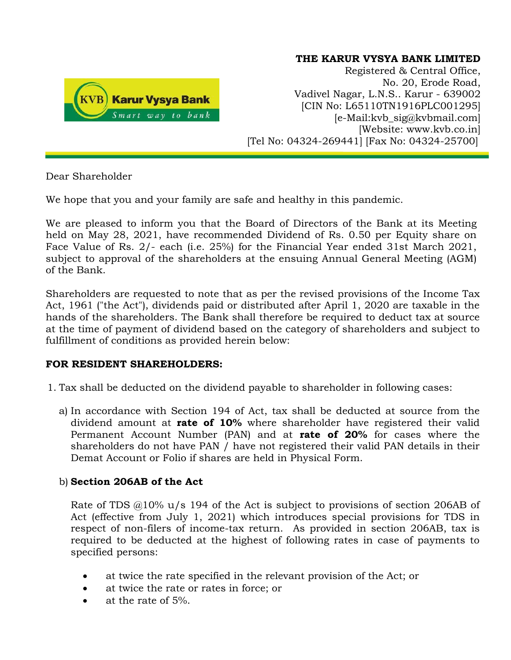

### **THE KARUR VYSYA BANK LIMITED**

Registered & Central Office, No. 20, Erode Road, Vadivel Nagar, L.N.S.. Karur - 639002 [CIN No: L65110TN1916PLC001295] [e-Mail:kvb\_sig@kvbmail.com] [Website: www.kvb.co.in] [Tel No: 04324-269441] [Fax No: 04324-25700]

Dear Shareholder

We hope that you and your family are safe and healthy in this pandemic.

We are pleased to inform you that the Board of Directors of the Bank at its Meeting held on May 28, 2021, have recommended Dividend of Rs. 0.50 per Equity share on Face Value of Rs. 2/- each (i.e. 25%) for the Financial Year ended 31st March 2021, subject to approval of the shareholders at the ensuing Annual General Meeting (AGM) of the Bank.

Shareholders are requested to note that as per the revised provisions of the Income Tax Act, 1961 ("the Act"), dividends paid or distributed after April 1, 2020 are taxable in the hands of the shareholders. The Bank shall therefore be required to deduct tax at source at the time of payment of dividend based on the category of shareholders and subject to fulfillment of conditions as provided herein below:

# **FOR RESIDENT SHAREHOLDERS:**

- 1. Tax shall be deducted on the dividend payable to shareholder in following cases:
	- a) In accordance with Section 194 of Act, tax shall be deducted at source from the dividend amount at **rate of 10%** where shareholder have registered their valid Permanent Account Number (PAN) and at **rate of 20%** for cases where the shareholders do not have PAN / have not registered their valid PAN details in their Demat Account or Folio if shares are held in Physical Form.

# b) **Section 206AB of the Act**

Rate of TDS  $@10\%$  u/s 194 of the Act is subject to provisions of section 206AB of Act (effective from July 1, 2021) which introduces special provisions for TDS in respect of non-filers of income-tax return. As provided in section 206AB, tax is required to be deducted at the highest of following rates in case of payments to specified persons:

- at twice the rate specified in the relevant provision of the Act; or
- at twice the rate or rates in force; or
- at the rate of 5%.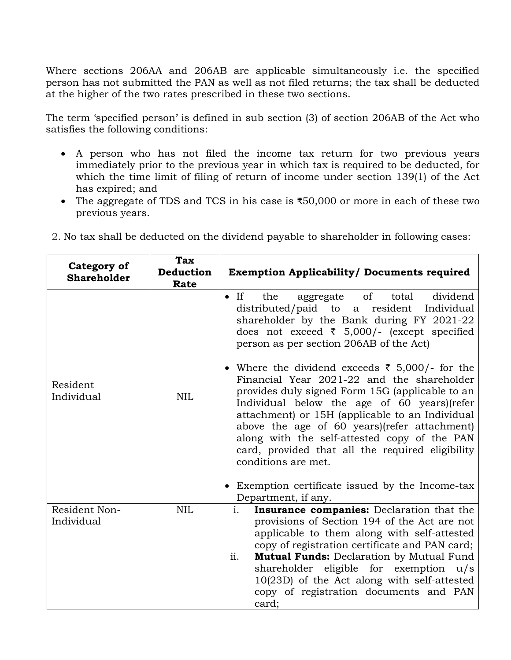Where sections 206AA and 206AB are applicable simultaneously i.e. the specified person has not submitted the PAN as well as not filed returns; the tax shall be deducted at the higher of the two rates prescribed in these two sections.

The term 'specified person' is defined in sub section (3) of section 206AB of the Act who satisfies the following conditions:

- A person who has not filed the income tax return for two previous years immediately prior to the previous year in which tax is required to be deducted, for which the time limit of filing of return of income under section 139(1) of the Act has expired; and
- The aggregate of TDS and TCS in his case is ₹50,000 or more in each of these two previous years.

| Category of<br><b>Shareholder</b> | <b>Tax</b><br>Deduction<br>Rate | <b>Exemption Applicability/ Documents required</b>                                                                                                                                                                                                                                                                                                                                                                                       |  |  |  |
|-----------------------------------|---------------------------------|------------------------------------------------------------------------------------------------------------------------------------------------------------------------------------------------------------------------------------------------------------------------------------------------------------------------------------------------------------------------------------------------------------------------------------------|--|--|--|
|                                   | <b>NIL</b>                      | of<br>dividend<br>$\bullet$ If<br>the<br>total<br>aggregate<br>distributed/paid to a<br>resident<br>Individual<br>shareholder by the Bank during FY 2021-22<br>does not exceed $\bar{\tau}$ 5,000/- (except specified<br>person as per section 206AB of the Act)                                                                                                                                                                         |  |  |  |
| Resident<br>Individual            |                                 | • Where the dividend exceeds $\bar{\tau}$ 5,000/- for the<br>Financial Year 2021-22 and the shareholder<br>provides duly signed Form 15G (applicable to an<br>Individual below the age of 60 years) (refer<br>attachment) or 15H (applicable to an Individual<br>above the age of 60 years)(refer attachment)<br>along with the self-attested copy of the PAN<br>card, provided that all the required eligibility<br>conditions are met. |  |  |  |
|                                   |                                 | • Exemption certificate issued by the Income-tax<br>Department, if any.                                                                                                                                                                                                                                                                                                                                                                  |  |  |  |
| Resident Non-<br>Individual       | <b>NIL</b>                      | i.<br>Insurance companies: Declaration that the<br>provisions of Section 194 of the Act are not<br>applicable to them along with self-attested<br>copy of registration certificate and PAN card;<br>ii.<br><b>Mutual Funds:</b> Declaration by Mutual Fund<br>shareholder eligible for exemption u/s<br>10(23D) of the Act along with self-attested<br>copy of registration documents and PAN<br>card;                                   |  |  |  |

2. No tax shall be deducted on the dividend payable to shareholder in following cases: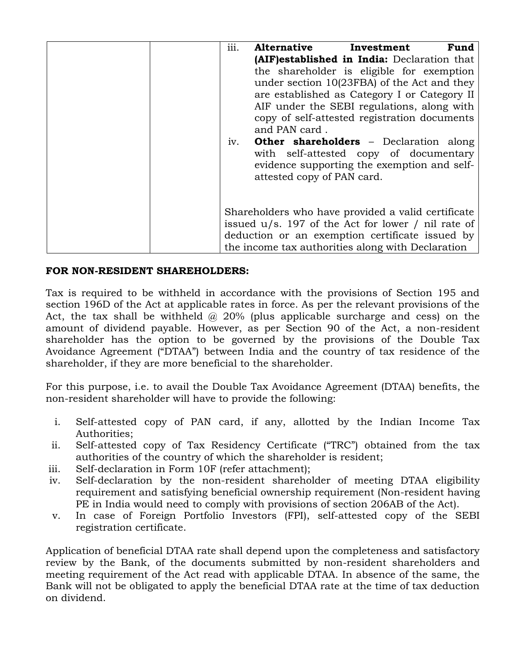| iii. | <b>Alternative</b>                                                                                                                                                   | Investment | Fund |  |
|------|----------------------------------------------------------------------------------------------------------------------------------------------------------------------|------------|------|--|
|      | (AIF)established in India: Declaration that                                                                                                                          |            |      |  |
|      | the shareholder is eligible for exemption                                                                                                                            |            |      |  |
|      | under section 10(23FBA) of the Act and they<br>are established as Category I or Category II<br>AIF under the SEBI regulations, along with                            |            |      |  |
|      |                                                                                                                                                                      |            |      |  |
|      |                                                                                                                                                                      |            |      |  |
|      | copy of self-attested registration documents                                                                                                                         |            |      |  |
|      | and PAN card.                                                                                                                                                        |            |      |  |
| iv.  | <b>Other shareholders</b> - Declaration along<br>with self-attested copy of documentary<br>evidence supporting the exemption and self-<br>attested copy of PAN card. |            |      |  |
|      | Shareholders who have provided a valid certificate<br>issued $u/s$ . 197 of the Act for lower / nil rate of                                                          |            |      |  |
|      | deduction or an exemption certificate issued by                                                                                                                      |            |      |  |
|      | the income tax authorities along with Declaration                                                                                                                    |            |      |  |

# **FOR NON-RESIDENT SHAREHOLDERS:**

Tax is required to be withheld in accordance with the provisions of Section 195 and section 196D of the Act at applicable rates in force. As per the relevant provisions of the Act, the tax shall be withheld  $\omega$  20% (plus applicable surcharge and cess) on the amount of dividend payable. However, as per Section 90 of the Act, a non-resident shareholder has the option to be governed by the provisions of the Double Tax Avoidance Agreement ("DTAA") between India and the country of tax residence of the shareholder, if they are more beneficial to the shareholder.

For this purpose, i.e. to avail the Double Tax Avoidance Agreement (DTAA) benefits, the non-resident shareholder will have to provide the following:

- i. Self-attested copy of PAN card, if any, allotted by the Indian Income Tax Authorities;
- ii. Self-attested copy of Tax Residency Certificate ("TRC") obtained from the tax authorities of the country of which the shareholder is resident;
- iii. Self-declaration in Form 10F (refer attachment);
- iv. Self-declaration by the non-resident shareholder of meeting DTAA eligibility requirement and satisfying beneficial ownership requirement (Non-resident having PE in India would need to comply with provisions of section 206AB of the Act).
- v. In case of Foreign Portfolio Investors (FPI), self-attested copy of the SEBI registration certificate.

Application of beneficial DTAA rate shall depend upon the completeness and satisfactory review by the Bank, of the documents submitted by non-resident shareholders and meeting requirement of the Act read with applicable DTAA. In absence of the same, the Bank will not be obligated to apply the beneficial DTAA rate at the time of tax deduction on dividend.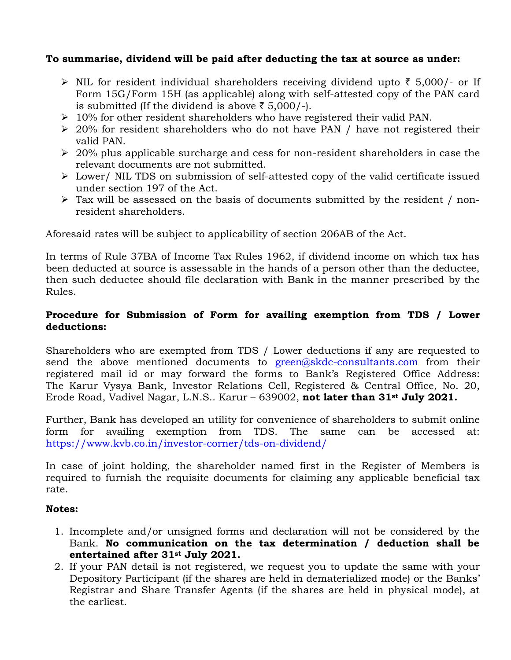#### **To summarise, dividend will be paid after deducting the tax at source as under:**

- $\triangleright$  NIL for resident individual shareholders receiving dividend upto  $\bar{\tau}$  5,000/- or If Form 15G/Form 15H (as applicable) along with self-attested copy of the PAN card is submitted (If the dividend is above  $\bar{z}$  5,000/-).
- $\geq 10\%$  for other resident shareholders who have registered their valid PAN.
- $\geq$  20% for resident shareholders who do not have PAN / have not registered their valid PAN.
- $\geq$  20% plus applicable surcharge and cess for non-resident shareholders in case the relevant documents are not submitted.
- Lower/ NIL TDS on submission of self-attested copy of the valid certificate issued under section 197 of the Act.
- $\triangleright$  Tax will be assessed on the basis of documents submitted by the resident / nonresident shareholders.

Aforesaid rates will be subject to applicability of section 206AB of the Act.

In terms of Rule 37BA of Income Tax Rules 1962, if dividend income on which tax has been deducted at source is assessable in the hands of a person other than the deductee, then such deductee should file declaration with Bank in the manner prescribed by the Rules.

### **Procedure for Submission of Form for availing exemption from TDS / Lower deductions:**

Shareholders who are exempted from TDS / Lower deductions if any are requested to send the above mentioned documents to [green@skdc-consultants.com](mailto:green@skdc-consultants.com) from their registered mail id or may forward the forms to Bank's Registered Office Address: The Karur Vysya Bank, Investor Relations Cell, Registered & Central Office, No. 20, Erode Road, Vadivel Nagar, L.N.S.. Karur – 639002, **not later than 31st July 2021.**

Further, Bank has developed an utility for convenience of shareholders to submit online form for availing exemption from TDS. The same can be accessed at: <https://www.kvb.co.in/investor-corner/tds-on-dividend/>

In case of joint holding, the shareholder named first in the Register of Members is required to furnish the requisite documents for claiming any applicable beneficial tax rate.

#### **Notes:**

- 1. Incomplete and/or unsigned forms and declaration will not be considered by the Bank. **No communication on the tax determination / deduction shall be entertained after 31st July 2021.**
- 2. If your PAN detail is not registered, we request you to update the same with your Depository Participant (if the shares are held in dematerialized mode) or the Banks' Registrar and Share Transfer Agents (if the shares are held in physical mode), at the earliest.